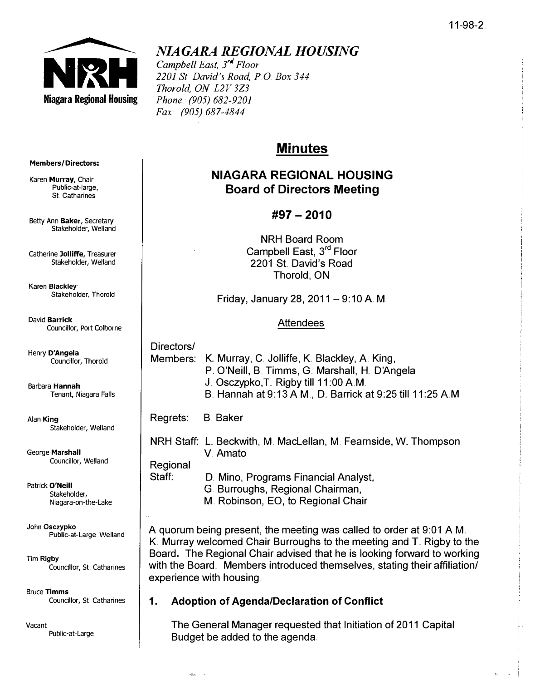$\sqrt{2} \omega_{\rm s}$ o.



# NIAGARA REGIONAL HOUSING

Campbell East, 3<sup>rd</sup> Floor 2201 St David's Road, P.O. Box 344 Thorold, ON L2V 3Z3 Phone. (905) 682-9201 Fax (905) 687-4844

# Minutes

## NIAGARA REGIONAL HOUSING Board of Directors Meeting

## #97 - 2010

NRH Board Room Campbell East, 3<sup>rd</sup> Floor 2201 St. David's Road Thorold, ON

Friday, January 28, 2011 – 9:10 A. M.

### Attendees

| Directors/        |                                                                                                          |
|-------------------|----------------------------------------------------------------------------------------------------------|
|                   | Members: K. Murray, C. Jolliffe, K. Blackley, A. King,<br>P. O'Neill, B. Timms, G. Marshall, H. D'Angela |
|                   | J. Osczypko, T. Rigby till 11:00 A.M.                                                                    |
|                   | B. Hannah at 9:13 A.M., D. Barrick at 9:25 till 11:25 A.M.                                               |
| Regrets: B. Baker |                                                                                                          |

NRH Staff: L Beckwith, M. MacLellan, M. Fearnside, W. Thompson V. Amato Regional

Staff: D. Mino, Programs Financial Analyst, G. Burroughs, Regional Chairman, M. Robinson, EO, to Regional Chair

A quorum being present, the meeting was called to order at 9:01 AM. K. Murray welcomed Chair Burroughs to the meeting and T. Rigby to the Board. The Regional Chair advised that he is looking forward to working with the Board. Members introduced themselves, stating their affiliation/ experience with housing.

### 1. Adoption of Agenda/Declaration of Conflict

 $\sim$ 

The General Manager requested that Initiation of 2011 Capital Budget be added to the agenda

#### Members/Directors:

Karen Murray, Chair Public-at-Iarge, St. Catharines

Betty Ann Baker, Secretary Stakeholder, Welland

Catherine JOlliffe, Treasurer Stakeholder, Welland

Karen Blackley Stakeholder, Thorold

David Barrick Councillor, Port Colborne

Henry D'Angela Councillor, Thorold

Barbara Hannah Tenant, Niagara Falls

Alan King Stakeholder, Welland

George Marshall Councillor, Welland

Patrick O'Neill Stakeholder, Niagara-on-the-Lake

John Osczypko Public-at-Large Welland

Tim Rigby Councillor, St. Catharines

**Bruce Timms** Councillor, St. Catharines

Vacant Public-at-Large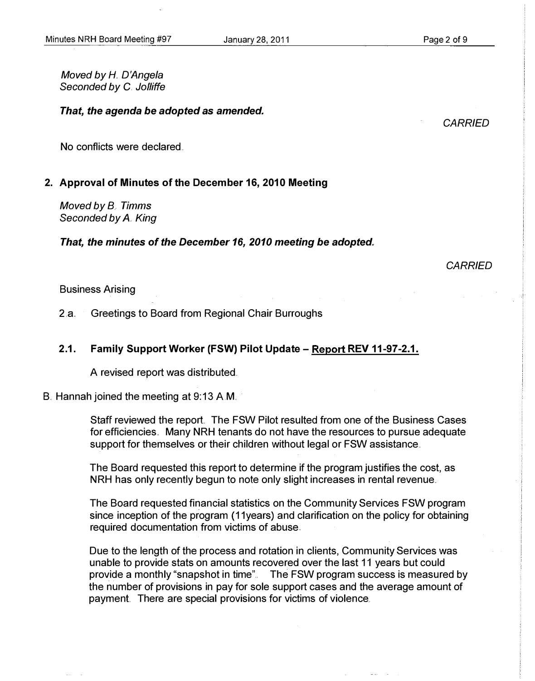#### January 28, 2011

Moved by H. D'Angela Seconded by C. Jolliffe

#### That, the agenda be adopted as amended.

**CARRIED** 

No conflicts were declared

#### 2. Approval of Minutes of the December 16, 2010 Meeting

Moved by B. Timms Seconded by A. King

That, the minutes of the December 16, 2010 meeting be adopted.

**CARRIED** 

#### Business Arising

2.8. Greetings to Board from Regional Chair Burroughs

### 2.1. Family Support Worker (FSW) Pilot Update - Report REV 11-97-2.1.

A revised report was distributed ..

B. Hannah joined the meeting at 9:13 A.M.

Staff reviewed the report.. The FSW Pilot resulted from one of the Business Cases for efficiencies.. Many NRH tenants do not have the resources to pursue adequate support for themselves or their children without legal or FSW assistance ..

The Board requested this report to determine if the program justifies the cost, as NRH has only recently begun to note only slight increases in rental revenue.

The Board requested financial statistics on the Community Services FSW program since inception of the program (11years) and clarification on the policy for obtaining required documentation from victims of abuse ..

Due to the length of the process and rotation in clients, Community Services was unable to provide stats on amounts recovered over the last 11 years but could provide a monthly "snapshot in time".. The FSW program success is measured by the number of provisions in pay for sole support cases and the average amount of payment. There are special provisions for victims of violence.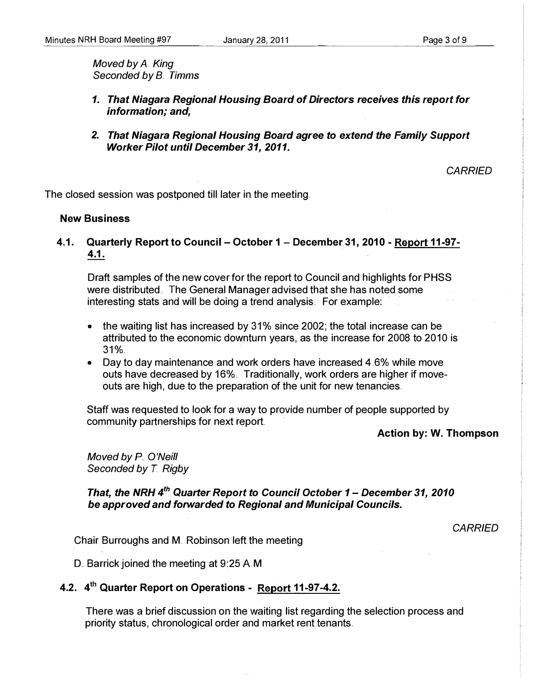Moved by A King Seconded by B.. Timms

- 1. That Niagara Regional Housing Board of Directors receives this report for information; and,
- 2. That Niagara Regional Housing Board agree to extend the Family Support Worker Pilot until December 31, 2011.

**CARRIED** 

The closed session was postponed till later in the meeting.

#### New Business

4.1. Quarterly Report to Council - October 1 - December 31, 2010 - Report 11-97-4.1.

Draft samples of the new cover for the report to Council and highlights for PHSS were distributed. The General Manager advised that she has noted some interesting stats and will be doing a trend analysis.. For example:

- the waiting list has increased by 31% since 2002; the total increase can be attributed to the economic downturn years, as the increase for 2008 to 2010 is  $31%$
- Day to day maintenance and work orders have increased  $4.6\%$  while move outs have decreased by 16%. Traditionally, work orders are higher if moveouts are high, due to the preparation of the unit for new tenancies.

Staff was requested to look for a way to provide number of people supported by community partnerships for next report.

Action by: W. Thompson

Moved by P. O'Neill Seconded by T. Rigby

That, the NRH 4<sup>th</sup> Quarter Report to Council October 1 - December 31, 2010 be approved and forwarded to Regional and Municipal Councils.

**CARRIED** 

Chair Burroughs and M. Robinson left the meeting

D. Barrick joined the meeting at 9:25 AM.

# 4.2. 4<sup>th</sup> Quarter Report on Operations - Report 11-97-4.2.

There was a brief discussion on the waiting list regarding the selection process and priority status, chronological order and market rent tenants ..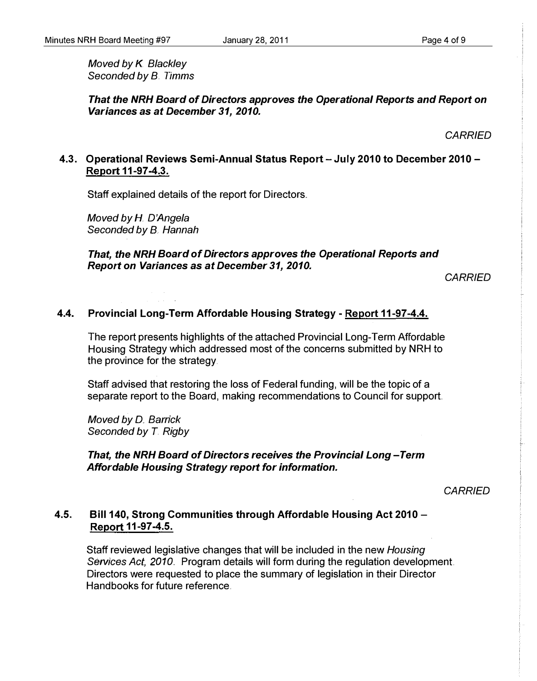Moved by K. Blackley Seconded by B. Timms

That the NRH Board of Directors approves the Operational Reports and Report on Variances as at December 31, 2010.

**CARRIED** 

### 4.3. Operational Reviews Semi-Annual Status Report - July 2010 to December 2010 -Report 11-97-4.3.

Staff explained details of the report for Directors.

Moved by H. D'Angela Seconded by B. Hannah

### That, the NRH Board of Directors approves the Operational Reports and Report on Variances as at December 31, 2010.

**CARRIED** 

### 4.4. Provincial Long-Term Affordable Housing Strategy - Report 11-97-4.4.

The report presents highlights of the attached Provincial Long-Term Affordable Housing Strategy which addressed most of the concerns submitted by NRH to the province for the strategy.

Staff advised that restoring the loss of Federal funding, will be the topic of a separate report to the Board, making recommendations to Council for support.

Moved by D. Barrick Seconded by T. Rigby

### That, the NRH Board of Directors receives the Provincial Long-Term Affordable Housing Strategy report for information.

**CARRIED** 

### 4.5. Bill 140, Strong Communities through Affordable Housing Act 2010- Report 11-97-4.5.

Staff reviewed legislative changes that will be included in the new Housing Services Act, 2010. Program details will form during the regulation development. Directors were requested to place the summary of legislation in their Director Handbooks for future reference.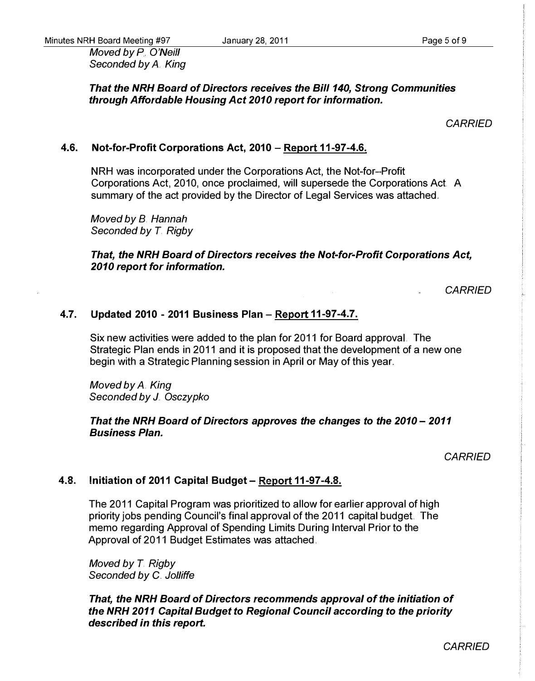Moved by P. O'Neill Seconded by A. King

### That the NRH Board of Directors receives the Bill 140, Strong Communities through Affordable Housing Act 2010 report for information.

### **CARRIED**

### 4.6. Not-for-Profit Corporations Act, 2010 - Report 11-97-4.6.

NRH was incorporated under the Corporations Act, the Not-for-Profit Corporations Act, 2010, once proclaimed, will supersede the Corporations Act A summary of the act provided by the Director of Legal Services was attached.

Moved by B. Hannah Seconded by T. Rigby

That, the NRH Board of Directors receives the Not-for-Profit Corporations Act, 2010 report for information.

**CARRIED** 

### 4.7. Updated 2010 - 2011 Business Plan - Report 11-97-4.7.

Six new activities were added to the plan for 2011 for Board approval. The Strategic Plan ends in 2011 and it is proposed that the development of a new one begin with a Strategic Planning session in April or May of this year ..

Moved by A. King Seconded by J. Osczypko

### That the NRH Board of Directors approves the changes to the 2010 - 2011 Business Plan.

**CARRIED** 

### 4.8. Initiation of 2011 Capital Budget - Report 11-97-4.8.

The 2011 Capital Program was prioritized to allow for earlier approval of high priority jobs pending Council's final approval of the 2011 capital budget The memo regarding Approval of Spending Limits During Interval Prior to the Approval of 2011 Budget Estimates was attached ..

Moved by T. Rigby Seconded by C. Jolliffe

That, the NRH Board of Directors recommends approval of the initiation of the NRH 2011 Capital Budget to Regional Council according to the priority described in this report.

**CARRIED**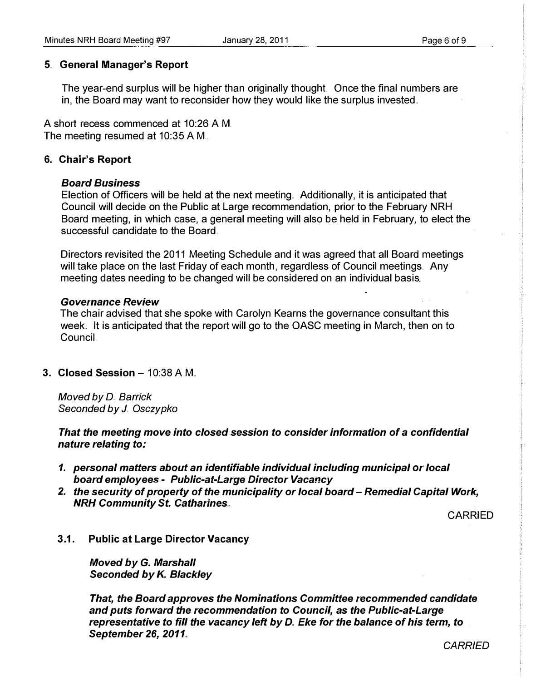### 5" General Manager's Report

The year-end surplus will be higher than originally thought. Once the final numbers are in, the Board may want to reconsider how they would like the surplus invested.

A short recess commenced at 10:26 AM. The meeting resumed at 10:35 AM..

### 6. Chair's Report

### Board Business

Election of Officers will be held at the next meeting.. Additionally, it is anticipated that Council will decide on the Public at Large recommendation, prior to the February NRH Board meeting, in which case, a general meeting will also be held in February, to elect the successful candidate to the Board.

Directors revisited the 2011 Meeting Schedule and it was agreed that all Board meetings will take place on the last Friday of each month, regardless of Council meetings. Any meeting dates needing to be changed will be considered on an individual basis.

### Governance Review

The chair advised that she spoke with Carolyn Kearns the governance consultant this week. It is anticipated that the report will go to the OASC meeting in March, then on to CounciL

### 3. Closed Session  $-10:38$  A M.

Moved by D.. Barrick Seconded by J. Osczypko

That the meeting move into closed session to consider information of a confidential nature relating to:

- 1. personal matters about an identifiable individual including municipal or local board employees - Public-at-Large Director Vacancy
- 2. the security of property of the municipality or local board Remedial Capital Work, NRH Community St. Catharines.,

CARRIED

3.1. Public at Large Director Vacancy

Moved by G. Marshall Seconded by K. Blackley

That, the Board approves the Nominations Committee recommended candidate and puts forward the recommendation to Council, as the Public-at-Large representative to fill the vacancy left by D. Eke for the balance of his term, to September 26, 2011.

**CARRIED**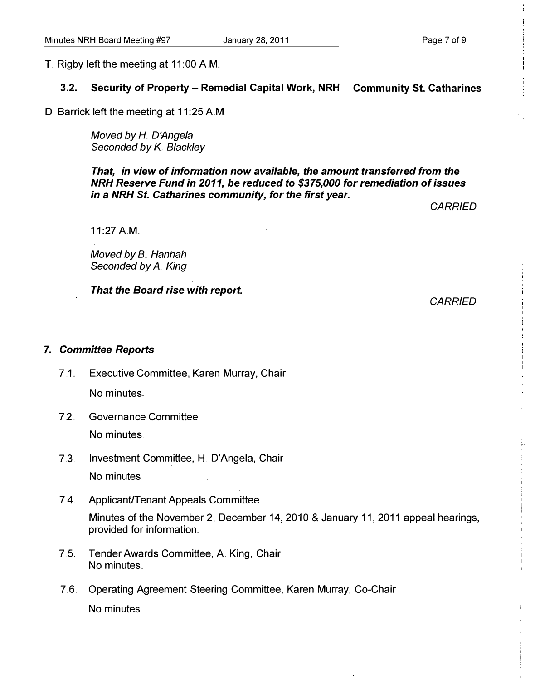T. Rigby left the meeting at 11 :00 AM..

#### 3.2. Security of Property - Remedial Capital Work, NRH Community st. Catharines

D. Barrick left the meeting at 11:25 A.M.

Moved by H. D'Angela Seconded by K. Blackley

That, in view of information now available, the amount transferred from the NRH Reserve Fund in 2011, be reduced to \$375,000 for remediation of issues in a NRH St. Catharines community, for the first year.

**CARRIED** 

11:27 A.M.

Moved by B. Hannah Seconded by A. King

That the Board rise with report.

**CARRIED** 

#### 7. Committee Reports

- 7.1. Executive Committee, Karen Murray, Chair No minutes.
- 7.2.. Governance Committee No minutes.
- 7.3. Investment Committee, H. D'Angela, Chair No minutes ..
- 7.4. Applicant/Tenant Appeals Committee

Minutes of the November 2, December 14, 2010 & January 11, 2011 appeal hearings, provided for information.

- 7. 5.. Tender Awards Committee, A King, Chair No minutes.
- 7.6. Operating Agreement Steering Committee, Karen Murray, Co-Chair No minutes.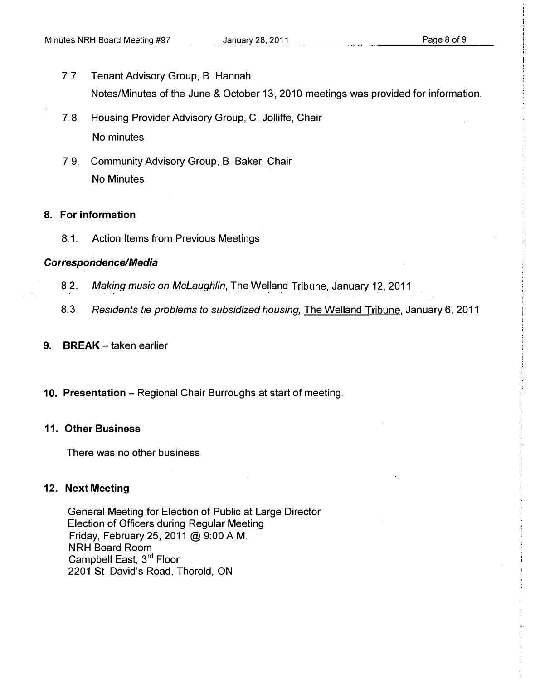- 7.7. Tenant Advisory Group, B. Hannah Notes/Minutes of the June & October 13, 2010 meetings was provided for information..
- 7..8. Housing Provider Advisory Group, C. Jolliffe, Chair No minutes.
- 7.9. Community Advisory Group, B. Baker, Chair No Minutes.

### 8. For information

8.1. Action Items from Previous Meetings

### Correspondence/Media

- 8.2.. Making music on McLaughlin, The Welland Tribune, January 12, 2011
- 8.3. Residents tie problems to subsidized housing, The Welland Tribune, January 6, 2011
- 9. BREAK  $-$  taken earlier
- 10. Presentation Regional Chair Burroughs at start of meeting.

### 11. Other Business

There was no other business.

### 12. Next Meeting

General Meeting for Election of Public at Large Director Election of Officers during Regular Meeting Friday, February 25, 2011 @ 9:00 AM. NRH Board Room Campbell East, 3rd Floor 2201 St. David's Road, Thorold, ON